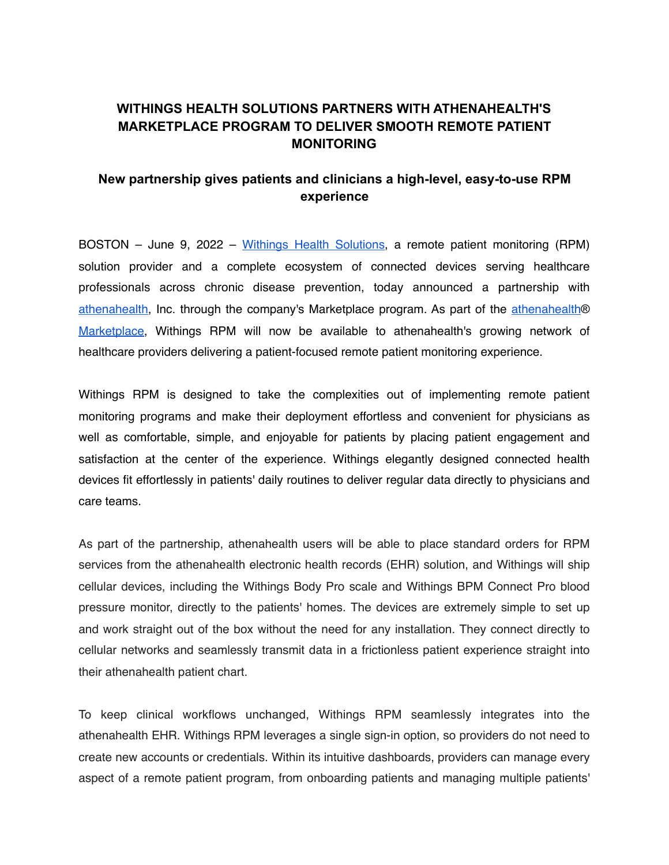# **WITHINGS HEALTH SOLUTIONS PARTNERS WITH ATHENAHEALTH'S MARKETPLACE PROGRAM TO DELIVER SMOOTH REMOTE PATIENT MONITORING**

## **New partnership gives patients and clinicians a high-level, easy-to-use RPM experience**

BOSTON – June 9, 2022 – [Withings Health Solutions](https://www.withings.com/for-professionals/), a remote patient monitoring (RPM) solution provider and a complete ecosystem of connected devices serving healthcare professionals across chronic disease prevention, today announced a partnership with [athenahealth,](http://www.athenahealth.com/) Inc. through the company's Marketplace program. As part of the [athenahealth](http://www.athenahealth.com/marketplace/)[®](http://www.athenahealth.com/marketplace/) [Marketplace,](http://www.athenahealth.com/marketplace/) Withings RPM will now be available to athenahealth's growing network of healthcare providers delivering a patient-focused remote patient monitoring experience.

Withings RPM is designed to take the complexities out of implementing remote patient monitoring programs and make their deployment effortless and convenient for physicians as well as comfortable, simple, and enjoyable for patients by placing patient engagement and satisfaction at the center of the experience. Withings elegantly designed connected health devices fit effortlessly in patients' daily routines to deliver regular data directly to physicians and care teams.

As part of the partnership, athenahealth users will be able to place standard orders for RPM services from the athenahealth electronic health records (EHR) solution, and Withings will ship cellular devices, including the Withings Body Pro scale and Withings BPM Connect Pro blood pressure monitor, directly to the patients' homes. The devices are extremely simple to set up and work straight out of the box without the need for any installation. They connect directly to cellular networks and seamlessly transmit data in a frictionless patient experience straight into their athenahealth patient chart.

To keep clinical workflows unchanged, Withings RPM seamlessly integrates into the athenahealth EHR. Withings RPM leverages a single sign-in option, so providers do not need to create new accounts or credentials. Within its intuitive dashboards, providers can manage every aspect of a remote patient program, from onboarding patients and managing multiple patients'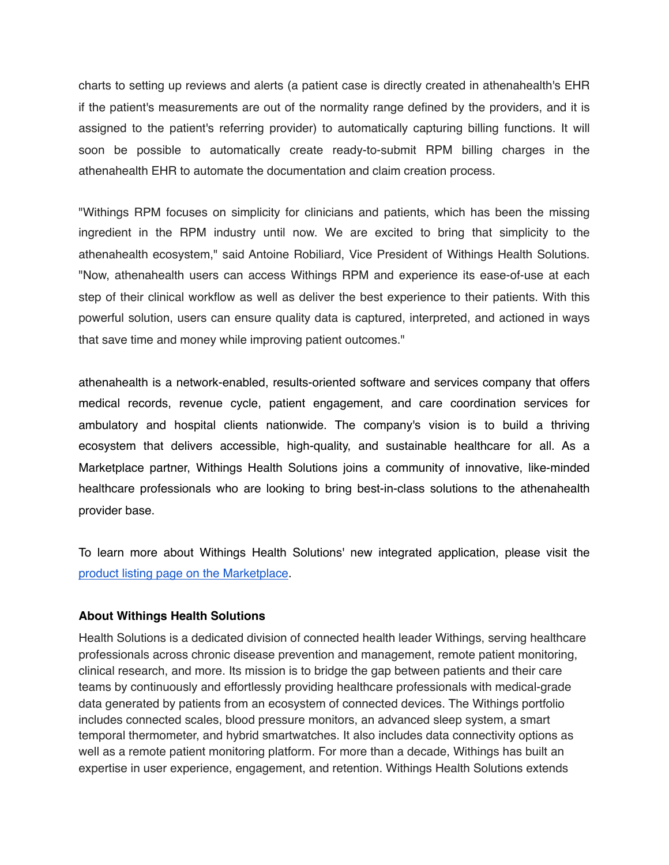charts to setting up reviews and alerts (a patient case is directly created in athenahealth's EHR if the patient's measurements are out of the normality range defined by the providers, and it is assigned to the patient's referring provider) to automatically capturing billing functions. It will soon be possible to automatically create ready-to-submit RPM billing charges in the athenahealth EHR to automate the documentation and claim creation process.

"Withings RPM focuses on simplicity for clinicians and patients, which has been the missing ingredient in the RPM industry until now. We are excited to bring that simplicity to the athenahealth ecosystem," said Antoine Robiliard, Vice President of Withings Health Solutions. "Now, athenahealth users can access Withings RPM and experience its ease-of-use at each step of their clinical workflow as well as deliver the best experience to their patients. With this powerful solution, users can ensure quality data is captured, interpreted, and actioned in ways that save time and money while improving patient outcomes."

athenahealth is a network-enabled, results-oriented software and services company that offers medical records, revenue cycle, patient engagement, and care coordination services for ambulatory and hospital clients nationwide. The company's vision is to build a thriving ecosystem that delivers accessible, high-quality, and sustainable healthcare for all. As a Marketplace partner, Withings Health Solutions joins a community of innovative, like-minded healthcare professionals who are looking to bring best-in-class solutions to the athenahealth provider base.

To learn more about Withings Health Solutions' new integrated application, please visit the [product listing page on the Marketplace](https://marketplace.athenahealth.com/product/withings-health-solutions).

#### **About Withings Health Solutions**

Health Solutions is a dedicated division of connected health leader Withings, serving healthcare professionals across chronic disease prevention and management, remote patient monitoring, clinical research, and more. Its mission is to bridge the gap between patients and their care teams by continuously and effortlessly providing healthcare professionals with medical-grade data generated by patients from an ecosystem of connected devices. The Withings portfolio includes connected scales, blood pressure monitors, an advanced sleep system, a smart temporal thermometer, and hybrid smartwatches. It also includes data connectivity options as well as a remote patient monitoring platform. For more than a decade, Withings has built an expertise in user experience, engagement, and retention. Withings Health Solutions extends